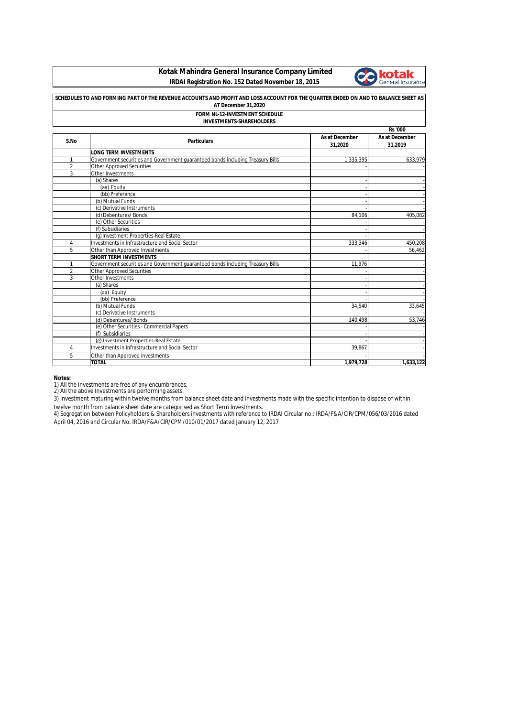## **Kotak Mahindra General Insurance Company Limited IRDAI Registration No. 152 Dated November 18, 2015**



| SCHEDULES TO AND FORMING PART OF THE REVENUE ACCOUNTS AND PROFIT AND LOSS ACCOUNT FOR THE QUARTER ENDED ON AND TO BALANCE SHEET AS<br>AT December 31,2020<br><b>FORM NL-12-INVESTMENT SCHEDULE</b><br><b>INVESTMENTS-SHAREHOLDERS</b><br><b>Rs '000</b> |                                                                                |           |           |  |      |                              |                           |                           |
|---------------------------------------------------------------------------------------------------------------------------------------------------------------------------------------------------------------------------------------------------------|--------------------------------------------------------------------------------|-----------|-----------|--|------|------------------------------|---------------------------|---------------------------|
|                                                                                                                                                                                                                                                         |                                                                                |           |           |  | S.No | <b>Particulars</b>           | As at December<br>31,2020 | As at December<br>31,2019 |
|                                                                                                                                                                                                                                                         |                                                                                |           |           |  |      | <b>LONG TERM INVESTMENTS</b> |                           |                           |
| 1                                                                                                                                                                                                                                                       | Government securities and Government guaranteed bonds including Treasury Bills | 1,335,395 | 633,979   |  |      |                              |                           |                           |
| $\overline{2}$                                                                                                                                                                                                                                          | <b>Other Approved Securities</b>                                               |           |           |  |      |                              |                           |                           |
| 3                                                                                                                                                                                                                                                       | Other Investments                                                              |           |           |  |      |                              |                           |                           |
|                                                                                                                                                                                                                                                         | (a) Shares                                                                     |           |           |  |      |                              |                           |                           |
|                                                                                                                                                                                                                                                         | (aa) Equity                                                                    |           |           |  |      |                              |                           |                           |
|                                                                                                                                                                                                                                                         | (bb) Preference                                                                |           |           |  |      |                              |                           |                           |
|                                                                                                                                                                                                                                                         | (b) Mutual Funds                                                               |           |           |  |      |                              |                           |                           |
|                                                                                                                                                                                                                                                         | (c) Derivative Instruments                                                     |           |           |  |      |                              |                           |                           |
|                                                                                                                                                                                                                                                         | (d) Debentures/ Bonds                                                          | 84.106    | 405,082   |  |      |                              |                           |                           |
|                                                                                                                                                                                                                                                         | (e) Other Securities                                                           |           |           |  |      |                              |                           |                           |
|                                                                                                                                                                                                                                                         | (f) Subsidiaries                                                               |           |           |  |      |                              |                           |                           |
|                                                                                                                                                                                                                                                         | (g) Investment Properties-Real Estate                                          |           |           |  |      |                              |                           |                           |
| 4                                                                                                                                                                                                                                                       | Investments in Infrastructure and Social Sector                                | 333,346   | 450,208   |  |      |                              |                           |                           |
| 5                                                                                                                                                                                                                                                       | Other than Approved Investments                                                |           | 56,462    |  |      |                              |                           |                           |
|                                                                                                                                                                                                                                                         | <b>SHORT TERM INVESTMENTS</b>                                                  |           |           |  |      |                              |                           |                           |
| 1                                                                                                                                                                                                                                                       | Government securities and Government guaranteed bonds including Treasury Bills | 11.976    |           |  |      |                              |                           |                           |
| $\overline{2}$                                                                                                                                                                                                                                          | <b>Other Approved Securities</b>                                               |           |           |  |      |                              |                           |                           |
| 3                                                                                                                                                                                                                                                       | Other Investments                                                              |           |           |  |      |                              |                           |                           |
|                                                                                                                                                                                                                                                         | (a) Shares                                                                     |           |           |  |      |                              |                           |                           |
|                                                                                                                                                                                                                                                         | (aa) Equity                                                                    |           |           |  |      |                              |                           |                           |
|                                                                                                                                                                                                                                                         | (bb) Preference                                                                |           |           |  |      |                              |                           |                           |
|                                                                                                                                                                                                                                                         | (b) Mutual Funds                                                               | 34.540    | 33,645    |  |      |                              |                           |                           |
|                                                                                                                                                                                                                                                         | (c) Derivative Instruments                                                     |           |           |  |      |                              |                           |                           |
|                                                                                                                                                                                                                                                         | (d) Debentures/Bonds                                                           | 140,498   | 53,746    |  |      |                              |                           |                           |
|                                                                                                                                                                                                                                                         | (e) Other Securities - Commercial Papers                                       |           |           |  |      |                              |                           |                           |
|                                                                                                                                                                                                                                                         | (f) Subsidiaries                                                               |           |           |  |      |                              |                           |                           |
|                                                                                                                                                                                                                                                         | (g) Investment Properties-Real Estate                                          |           |           |  |      |                              |                           |                           |
| 4                                                                                                                                                                                                                                                       | Investments in Infrastructure and Social Sector                                | 39,867    |           |  |      |                              |                           |                           |
| 5                                                                                                                                                                                                                                                       | Other than Approved Investments                                                |           |           |  |      |                              |                           |                           |
|                                                                                                                                                                                                                                                         | <b>TOTAL</b>                                                                   | 1,979,728 | 1,633,122 |  |      |                              |                           |                           |

**Notes:**

1) All the Investments are free of any encumbrances. 2) All the above Investments are performing assets.

3) Investment maturing within twelve months from balance sheet date and investments made with the specific intention to dispose of within twelve month from balance sheet date are categorised as Short Term Investments.

4) Segregation between Policyholders & Shareholders investments with reference to IRDAI Circular no.: IRDA/F&A/CIR/CPM/056/03/2016 dated April 04, 2016 and Circular No. IRDA/F&A/CIR/CPM/010/01/2017 dated January 12, 2017